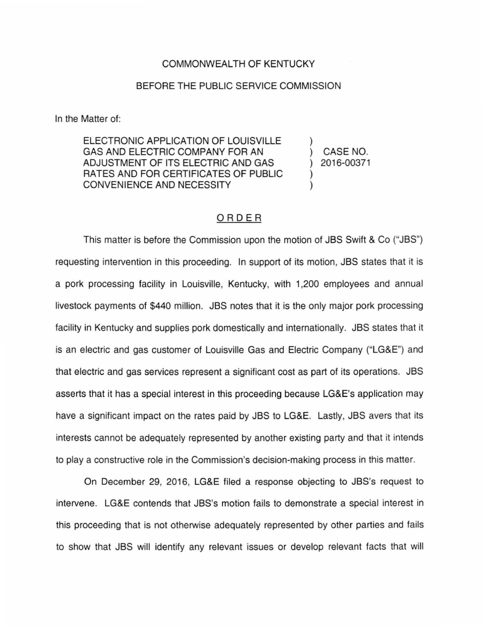## COMMONWEALTH OF KENTUCKY

## BEFORE THE PUBLIC SERVICE COMMISSION

In the Matter of:

ELECTRONIC APPLICATION OF LOUISVILLE GAS AND ELECTRIC COMPANY FOR AN ADJUSTMENT OF ITS ELECTRIC AND GAS RATES AND FOR CERTIFICATES OF PUBLIC CONVENIENCE AND NECESSITY

) CASE NO. ) 2016-00371

)

) )

## ORDER

This matter is before the Commission upon the motion of JBS Swift & Co ("JBS") requesting intervention in this proceeding. In support of its motion, JBS states that it is a pork processing facility in Louisville, Kentucky, with 1,200 employees and annual livestock payments of \$440 million. JBS notes that it is the only major pork processing facility in Kentucky and supplies pork domestically and internationally. JBS states that it is an electric and gas customer of Louisville Gas and Electric Company ("LG&E") and that electric and gas services represent a significant cost as part of its operations. JBS asserts that it has a special interest in this proceeding because LG&E's application may have a significant impact on the rates paid by JBS to LG&E. Lastly, JBS avers that its interests cannot be adequately represented by another existing party and that it intends to play a constructive role in the Commission's decision-making process in this matter.

On December 29, 2016, LG&E filed a response objecting to JBS's request to intervene. LG&E contends that JBS's motion fails to demonstrate a special interest in this proceeding that is not otherwise adequately represented by other parties and fails to show that JBS will identify any relevant issues or develop relevant facts that will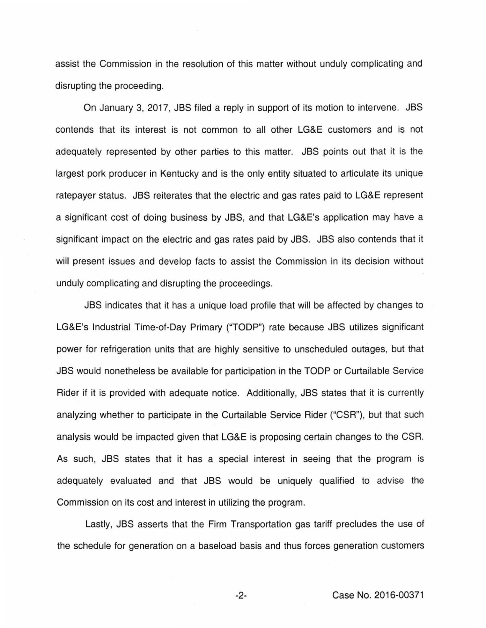assist the Commission in the resolution of this matter without unduly complicating and disrupting the proceeding.

On January 3, 2017, JBS filed a reply in support of its motion to intervene. JBS contends that its interest is not common to all other LG&E customers and is not adequately represented by other parties to this matter. JBS points out that it is the largest pork producer in Kentucky and is the only entity situated to articulate its unique ratepayer status. JBS reiterates that the electric and gas rates paid to LG&E represent a significant cost of doing business by JBS, and that LG&E's application may have a significant impact on the electric and gas rates paid by JBS. JBS also contends that it will present issues and develop facts to assist the Commission in its decision without unduly complicating and disrupting the proceedings.

JBS indicates that it has a unique load profile that will be affected by changes to LG&E's Industrial Time-of-Day Primary ("TODP") rate because JBS utilizes significant power for refrigeration units that are highly sensitive to unscheduled outages, but that JBS would nonetheless be available for participation in the TODP or Curtailable Service Rider if it is provided with adequate notice. Additionally, JBS states that it is currently analyzing whether to participate in the Curtailable Service Rider ("CSR"), but that such analysis would be impacted given that LG&E is proposing certain changes to the CSR. As such, JBS states that it has a special interest in seeing that the program is adequately evaluated and that JBS would be uniquely qualified to advise the Commission on its cost and interest in utilizing the program.

Lastly, JBS asserts that the Firm Transportation gas tariff precludes the use of the schedule for generation on a baseload basis and thus forces generation customers

-2- Case No. 2016-00371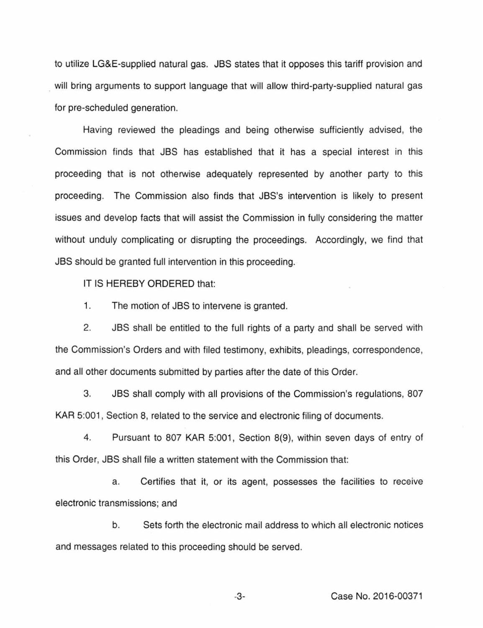to utilize LG&E-supplied natural gas. JBS states that it opposes this tariff provision and will bring arguments to support language that will allow third-party-supplied natural gas for pre-scheduled generation.

Having reviewed the pleadings and being otherwise sufficiently advised, the Commission finds that JBS has established that it has a special interest in this proceeding that is not otherwise adequately represented by another party to this proceeding. The Commission also finds that JBS's intervention is likely to present issues and develop facts that will assist the Commission in fully considering the matter without unduly complicating or disrupting the proceedings. Accordingly, we find that JBS should be granted full intervention in this proceeding.

IT IS HEREBY ORDERED that:

1. The motion of JBS to intervene is granted.

2. JBS shall be entitled to the full rights of a party and shall be served with the Commission's Orders and with filed testimony, exhibits, pleadings, correspondence, and all other documents submitted by parties after the date of this Order.

3. JBS shall comply with all provisions of the Commission's regulations, 807 KAR 5:001, Section 8, related to the service and electronic filing of documents.

4. Pursuant to 807 KAR 5:001, Section 8(9), within seven days of entry of this Order, JBS shall file a written statement with the Commission that:

a. Certifies that it, or its agent, possesses the facilities to receive electronic transmissions; and

b. Sets forth the electronic mail address to which all electronic notices and messages related to this proceeding should be served.

-3- Case No. 2016-00371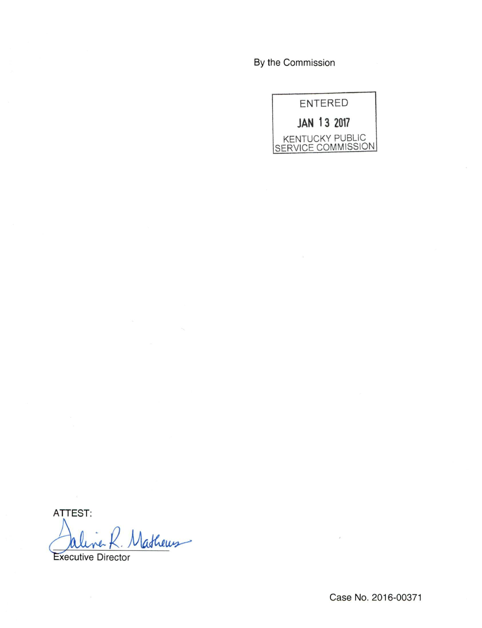By the Commission

| ENTERED                               |  |  |
|---------------------------------------|--|--|
| JAN 13 2017                           |  |  |
| KENTUCKY PUBLIC<br>SERVICE COMMISSION |  |  |

ATTEST:

Nathews

Executive Director

Case No. 2016-00371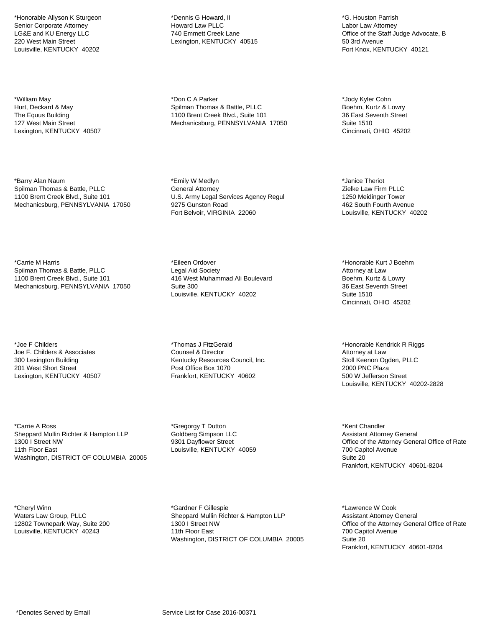\*Honorable Allyson K Sturgeon Senior Corporate Attorney LG&E and KU Energy LLC 220 West Main Street Louisville, KENTUCKY 40202

\*William May Hurt, Deckard & May The Equus Building 127 West Main Street Lexington, KENTUCKY 40507

\*Barry Alan Naum Spilman Thomas & Battle, PLLC 1100 Brent Creek Blvd., Suite 101 Mechanicsburg, PENNSYLVANIA 17050

\*Carrie M Harris Spilman Thomas & Battle, PLLC 1100 Brent Creek Blvd., Suite 101 Mechanicsburg, PENNSYLVANIA 17050

\*Joe F Childers Joe F. Childers & Associates 300 Lexington Building 201 West Short Street Lexington, KENTUCKY 40507

\*Carrie A Ross Sheppard Mullin Richter & Hampton LLP 1300 I Street NW 11th Floor East Washington, DISTRICT OF COLUMBIA 20005

\*Cheryl Winn Waters Law Group, PLLC 12802 Townepark Way, Suite 200 Louisville, KENTUCKY 40243

\*Dennis G Howard, II Howard Law PLLC 740 Emmett Creek Lane Lexington, KENTUCKY 40515

\*Don C A Parker Spilman Thomas & Battle, PLLC 1100 Brent Creek Blvd., Suite 101 Mechanicsburg, PENNSYLVANIA 17050

\*Emily W Medlyn General Attorney U.S. Army Legal Services Agency Regul 9275 Gunston Road Fort Belvoir, VIRGINIA 22060

\*Eileen Ordover Legal Aid Society 416 West Muhammad Ali Boulevard Suite 300 Louisville, KENTUCKY 40202

\*Thomas J FitzGerald Counsel & Director Kentucky Resources Council, Inc. Post Office Box 1070 Frankfort, KENTUCKY 40602

\*Gregorgy T Dutton Goldberg Simpson LLC 9301 Dayflower Street Louisville, KENTUCKY 40059

\*Gardner F Gillespie Sheppard Mullin Richter & Hampton LLP 1300 I Street NW 11th Floor East Washington, DISTRICT OF COLUMBIA 20005

\*G. Houston Parrish Labor Law Attorney Office of the Staff Judge Advocate, B 50 3rd Avenue Fort Knox, KENTUCKY 40121

\*Jody Kyler Cohn Boehm, Kurtz & Lowry 36 East Seventh Street Suite 1510 Cincinnati, OHIO 45202

\*Janice Theriot Zielke Law Firm PLLC 1250 Meidinger Tower 462 South Fourth Avenue Louisville, KENTUCKY 40202

\*Honorable Kurt J Boehm Attorney at Law Boehm, Kurtz & Lowry 36 East Seventh Street Suite 1510 Cincinnati, OHIO 45202

\*Honorable Kendrick R Riggs Attorney at Law Stoll Keenon Ogden, PLLC 2000 PNC Plaza 500 W Jefferson Street Louisville, KENTUCKY 40202-2828

\*Kent Chandler Assistant Attorney General Office of the Attorney General Office of Rate 700 Capitol Avenue Suite 20 Frankfort, KENTUCKY 40601-8204

\*Lawrence W Cook Assistant Attorney General Office of the Attorney General Office of Rate 700 Capitol Avenue Suite 20 Frankfort, KENTUCKY 40601-8204